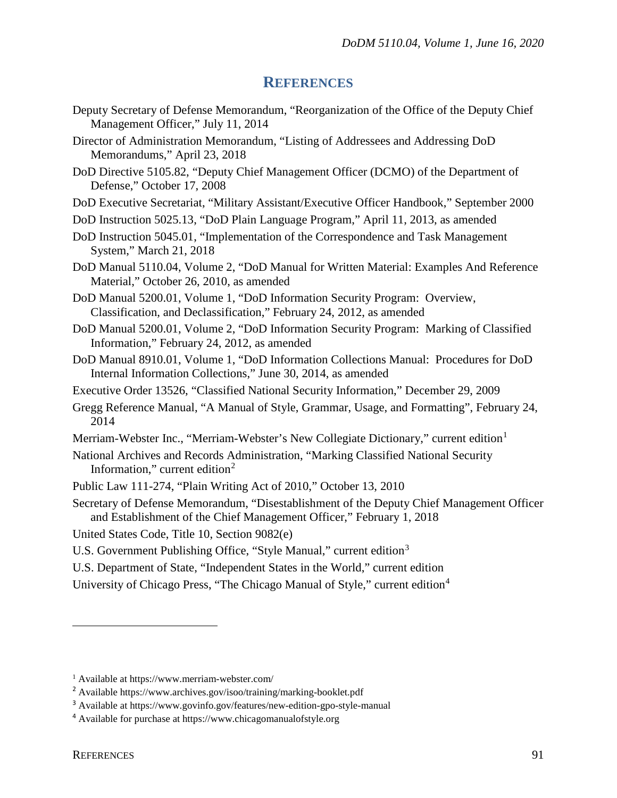## **REFERENCES**

- Deputy Secretary of Defense Memorandum, "Reorganization of the Office of the Deputy Chief Management Officer," July 11, 2014
- Director of Administration Memorandum, "Listing of Addressees and Addressing DoD Memorandums," April 23, 2018
- DoD Directive 5105.82, "Deputy Chief Management Officer (DCMO) of the Department of Defense," October 17, 2008
- DoD Executive Secretariat, "Military Assistant/Executive Officer Handbook," September 2000
- DoD Instruction 5025.13, "DoD Plain Language Program," April 11, 2013, as amended
- DoD Instruction 5045.01, "Implementation of the Correspondence and Task Management System," March 21, 2018
- DoD Manual 5110.04, Volume 2, "DoD Manual for Written Material: Examples And Reference Material," October 26, 2010, as amended
- DoD Manual 5200.01, Volume 1, "DoD Information Security Program: Overview, Classification, and Declassification," February 24, 2012, as amended
- DoD Manual 5200.01, Volume 2, "DoD Information Security Program: Marking of Classified Information," February 24, 2012, as amended
- DoD Manual 8910.01, Volume 1, "DoD Information Collections Manual: Procedures for DoD Internal Information Collections," June 30, 2014, as amended
- Executive Order 13526, "Classified National Security Information," December 29, 2009
- Gregg Reference Manual, "A Manual of Style, Grammar, Usage, and Formatting", February 24, 2014
- Merriam-Webster Inc., "Merriam-Webster's New Collegiate Dictionary," current edition<sup>[1](#page-0-0)</sup>
- National Archives and Records Administration, "Marking Classified National Security Information," current edition $2$
- Public Law 111-274, "Plain Writing Act of 2010," October 13, 2010
- Secretary of Defense Memorandum, "Disestablishment of the Deputy Chief Management Officer and Establishment of the Chief Management Officer," February 1, 2018

United States Code, Title 10, Section 9082(e)

- U.S. Government Publishing Office, "Style Manual," current edition<sup>[3](#page-0-2)</sup>
- U.S. Department of State, "Independent States in the World," current edition
- University of Chicago Press, "The Chicago Manual of Style," current edition[4](#page-0-3)

 $\overline{a}$ 

<span id="page-0-0"></span><sup>1</sup> Available at https://www.merriam-webster.com/

<span id="page-0-1"></span><sup>2</sup> Available https://www.archives.gov/isoo/training/marking-booklet.pdf

<span id="page-0-2"></span><sup>3</sup> Available at https://www.govinfo.gov/features/new-edition-gpo-style-manual

<span id="page-0-3"></span><sup>4</sup> Available for purchase at https://www.chicagomanualofstyle.org